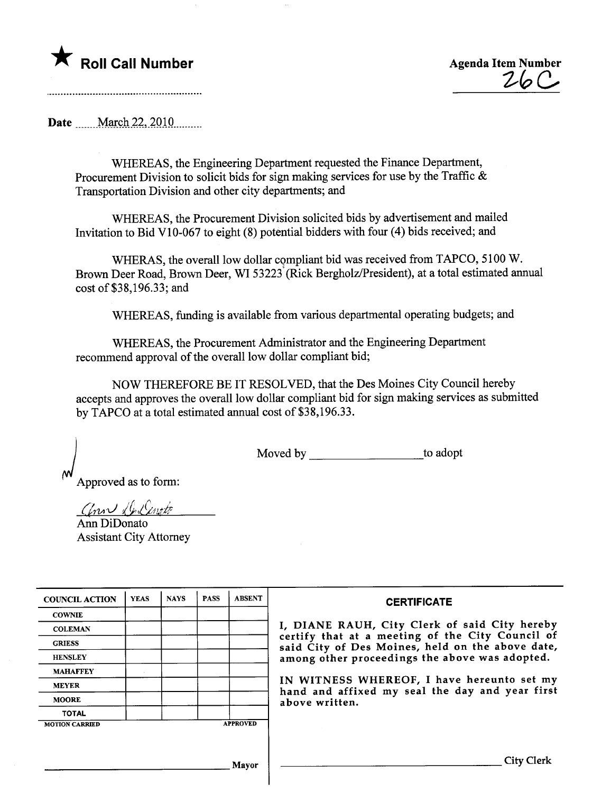

 $26C$ 

..................................

Date .......March 22, 2010.........

WHEREAS, the Engineering Department requested the Finance Department, Procurement Division to solicit bids for sign making services for use by the Traffic  $\&$ Transportation Division and other city departments; and

WHEREAS, the Procurement Division solicited bids by advertisement and mailed Invitation to Bid VI0-067 to eight (8) potential bidders with four (4) bids received; and

WHERAS, the overall low dollar compliant bid was received from TAPCO, 5100 W. Brown Deer Road, Brown Deer, WI 53223<sup>\*</sup>(Rick Bergholz/President), at a total estimated annual cost of \$38,196.33; and

WHEREAS, fuding is available from various deparmental operating budgets; and

WHEREAS, the Procurement Administrator and the Engineering Deparment recommend approval of the overall low dollar compliant bid;

NOW THEREFORE BE IT RESOLVED, that the Des Moines City Council hereby accepts and approves the overall low dollar compliant bid for sign making services as submitted by TAPCO at a total estimated annual cost of \$38,196.33.

Moved by \_\_\_\_\_\_\_\_\_\_\_\_\_\_\_\_\_\_\_\_\_\_\_\_to adopt

Approved as to form:

Conn Deliveto

Ann DiDonato Assistant City Attorney

| <b>COUNCIL ACTION</b> | <b>YEAS</b> | <b>NAYS</b> | <b>PASS</b> | <b>ABSENT</b>   | <b>CERTIFICATE</b>                                                                                   |
|-----------------------|-------------|-------------|-------------|-----------------|------------------------------------------------------------------------------------------------------|
| <b>COWNIE</b>         |             |             |             |                 |                                                                                                      |
| <b>COLEMAN</b>        |             |             |             |                 | I, DIANE RAUH, City Clerk of said City hereby                                                        |
| <b>GRIESS</b>         |             |             |             |                 | certify that at a meeting of the City Council of<br>said City of Des Moines, held on the above date, |
| <b>HENSLEY</b>        |             |             |             |                 | among other proceedings the above was adopted.                                                       |
| <b>MAHAFFEY</b>       |             |             |             |                 |                                                                                                      |
| <b>MEYER</b>          |             |             |             |                 | IN WITNESS WHEREOF, I have hereunto set my<br>hand and affixed my seal the day and year first        |
| <b>MOORE</b>          |             |             |             |                 | above written.                                                                                       |
| <b>TOTAL</b>          |             |             |             |                 |                                                                                                      |
| <b>MOTION CARRIED</b> |             |             |             | <b>APPROVED</b> |                                                                                                      |
|                       |             |             |             |                 |                                                                                                      |
|                       |             |             |             |                 |                                                                                                      |
|                       |             |             |             | Mavor           |                                                                                                      |